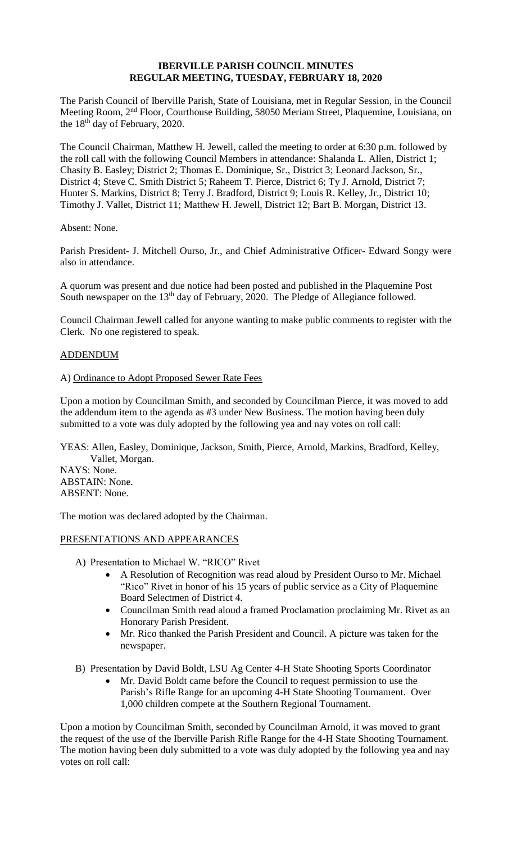## **IBERVILLE PARISH COUNCIL MINUTES REGULAR MEETING, TUESDAY, FEBRUARY 18, 2020**

The Parish Council of Iberville Parish, State of Louisiana, met in Regular Session, in the Council Meeting Room, 2nd Floor, Courthouse Building, 58050 Meriam Street, Plaquemine, Louisiana, on the 18th day of February, 2020.

The Council Chairman, Matthew H. Jewell, called the meeting to order at 6:30 p.m. followed by the roll call with the following Council Members in attendance: Shalanda L. Allen, District 1; Chasity B. Easley; District 2; Thomas E. Dominique, Sr., District 3; Leonard Jackson, Sr., District 4; Steve C. Smith District 5; Raheem T. Pierce, District 6; Ty J. Arnold, District 7; Hunter S. Markins, District 8; Terry J. Bradford, District 9; Louis R. Kelley, Jr., District 10; Timothy J. Vallet, District 11; Matthew H. Jewell, District 12; Bart B. Morgan, District 13.

Absent: None.

Parish President- J. Mitchell Ourso, Jr., and Chief Administrative Officer- Edward Songy were also in attendance.

A quorum was present and due notice had been posted and published in the Plaquemine Post South newspaper on the 13<sup>th</sup> day of February, 2020. The Pledge of Allegiance followed.

Council Chairman Jewell called for anyone wanting to make public comments to register with the Clerk. No one registered to speak.

## ADDENDUM

## A) Ordinance to Adopt Proposed Sewer Rate Fees

Upon a motion by Councilman Smith, and seconded by Councilman Pierce, it was moved to add the addendum item to the agenda as #3 under New Business. The motion having been duly submitted to a vote was duly adopted by the following yea and nay votes on roll call:

YEAS: Allen, Easley, Dominique, Jackson, Smith, Pierce, Arnold, Markins, Bradford, Kelley, Vallet, Morgan.

NAYS: None. ABSTAIN: None. ABSENT: None.

The motion was declared adopted by the Chairman.

### PRESENTATIONS AND APPEARANCES

- A) Presentation to Michael W. "RICO" Rivet
	- A Resolution of Recognition was read aloud by President Ourso to Mr. Michael "Rico" Rivet in honor of his 15 years of public service as a City of Plaquemine Board Selectmen of District 4.
	- Councilman Smith read aloud a framed Proclamation proclaiming Mr. Rivet as an Honorary Parish President.
	- Mr. Rico thanked the Parish President and Council. A picture was taken for the newspaper.

B) Presentation by David Boldt, LSU Ag Center 4-H State Shooting Sports Coordinator

• Mr. David Boldt came before the Council to request permission to use the Parish's Rifle Range for an upcoming 4-H State Shooting Tournament. Over 1,000 children compete at the Southern Regional Tournament.

Upon a motion by Councilman Smith, seconded by Councilman Arnold, it was moved to grant the request of the use of the Iberville Parish Rifle Range for the 4-H State Shooting Tournament. The motion having been duly submitted to a vote was duly adopted by the following yea and nay votes on roll call: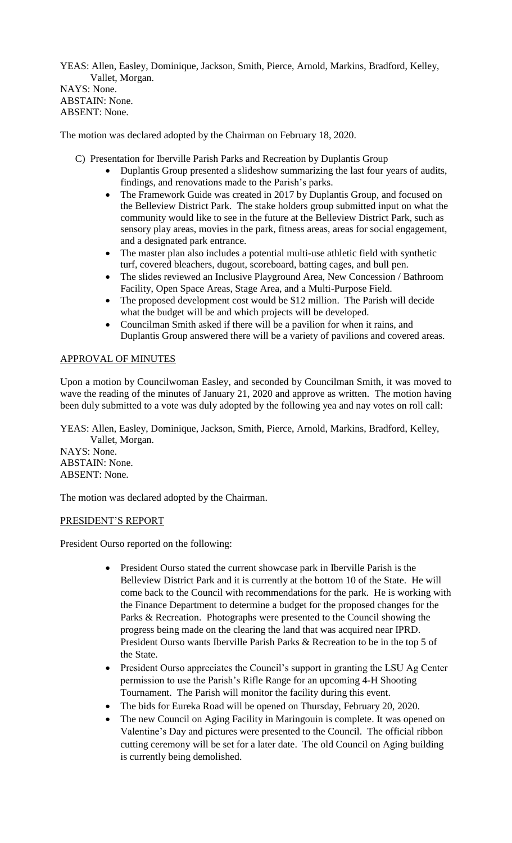YEAS: Allen, Easley, Dominique, Jackson, Smith, Pierce, Arnold, Markins, Bradford, Kelley, Vallet, Morgan.

NAYS: None. ABSTAIN: None. ABSENT: None.

The motion was declared adopted by the Chairman on February 18, 2020.

- C) Presentation for Iberville Parish Parks and Recreation by Duplantis Group
	- Duplantis Group presented a slideshow summarizing the last four years of audits, findings, and renovations made to the Parish's parks.
	- The Framework Guide was created in 2017 by Duplantis Group, and focused on the Belleview District Park. The stake holders group submitted input on what the community would like to see in the future at the Belleview District Park, such as sensory play areas, movies in the park, fitness areas, areas for social engagement, and a designated park entrance.
	- The master plan also includes a potential multi-use athletic field with synthetic turf, covered bleachers, dugout, scoreboard, batting cages, and bull pen.
	- The slides reviewed an Inclusive Playground Area, New Concession / Bathroom Facility, Open Space Areas, Stage Area, and a Multi-Purpose Field.
	- The proposed development cost would be \$12 million. The Parish will decide what the budget will be and which projects will be developed.
	- Councilman Smith asked if there will be a pavilion for when it rains, and Duplantis Group answered there will be a variety of pavilions and covered areas.

# APPROVAL OF MINUTES

Upon a motion by Councilwoman Easley, and seconded by Councilman Smith, it was moved to wave the reading of the minutes of January 21, 2020 and approve as written. The motion having been duly submitted to a vote was duly adopted by the following yea and nay votes on roll call:

YEAS: Allen, Easley, Dominique, Jackson, Smith, Pierce, Arnold, Markins, Bradford, Kelley, Vallet, Morgan.

NAYS: None. ABSTAIN: None. ABSENT: None.

The motion was declared adopted by the Chairman.

## PRESIDENT'S REPORT

President Ourso reported on the following:

- President Ourso stated the current showcase park in Iberville Parish is the Belleview District Park and it is currently at the bottom 10 of the State. He will come back to the Council with recommendations for the park. He is working with the Finance Department to determine a budget for the proposed changes for the Parks & Recreation. Photographs were presented to the Council showing the progress being made on the clearing the land that was acquired near IPRD. President Ourso wants Iberville Parish Parks & Recreation to be in the top 5 of the State.
- President Ourso appreciates the Council's support in granting the LSU Ag Center permission to use the Parish's Rifle Range for an upcoming 4-H Shooting Tournament. The Parish will monitor the facility during this event.
- The bids for Eureka Road will be opened on Thursday, February 20, 2020.
- The new Council on Aging Facility in Maringouin is complete. It was opened on Valentine's Day and pictures were presented to the Council. The official ribbon cutting ceremony will be set for a later date. The old Council on Aging building is currently being demolished.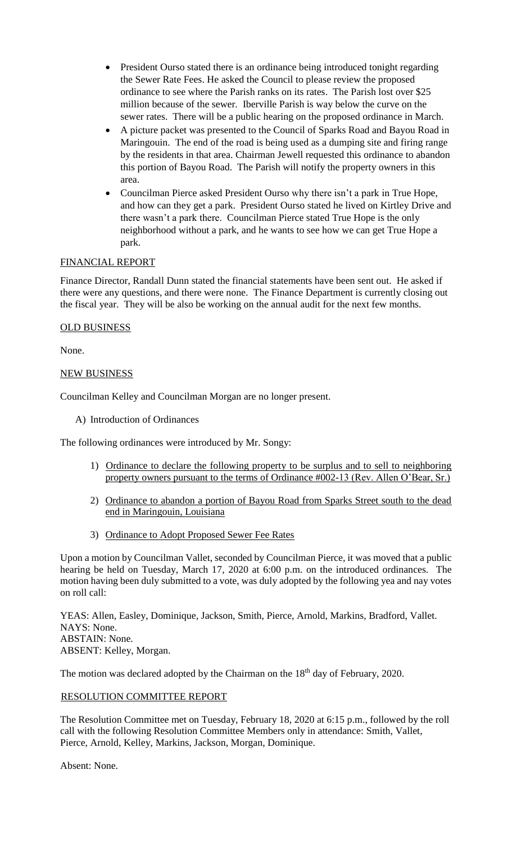- President Ourso stated there is an ordinance being introduced tonight regarding the Sewer Rate Fees. He asked the Council to please review the proposed ordinance to see where the Parish ranks on its rates. The Parish lost over \$25 million because of the sewer. Iberville Parish is way below the curve on the sewer rates. There will be a public hearing on the proposed ordinance in March.
- A picture packet was presented to the Council of Sparks Road and Bayou Road in Maringouin. The end of the road is being used as a dumping site and firing range by the residents in that area. Chairman Jewell requested this ordinance to abandon this portion of Bayou Road. The Parish will notify the property owners in this area.
- Councilman Pierce asked President Ourso why there isn't a park in True Hope, and how can they get a park. President Ourso stated he lived on Kirtley Drive and there wasn't a park there. Councilman Pierce stated True Hope is the only neighborhood without a park, and he wants to see how we can get True Hope a park.

# FINANCIAL REPORT

Finance Director, Randall Dunn stated the financial statements have been sent out. He asked if there were any questions, and there were none. The Finance Department is currently closing out the fiscal year. They will be also be working on the annual audit for the next few months.

## OLD BUSINESS

None.

## NEW BUSINESS

Councilman Kelley and Councilman Morgan are no longer present.

A) Introduction of Ordinances

The following ordinances were introduced by Mr. Songy:

- 1) Ordinance to declare the following property to be surplus and to sell to neighboring property owners pursuant to the terms of Ordinance #002-13 (Rev. Allen O'Bear, Sr.)
- 2) Ordinance to abandon a portion of Bayou Road from Sparks Street south to the dead end in Maringouin, Louisiana
- 3) Ordinance to Adopt Proposed Sewer Fee Rates

Upon a motion by Councilman Vallet, seconded by Councilman Pierce, it was moved that a public hearing be held on Tuesday, March 17, 2020 at 6:00 p.m. on the introduced ordinances. The motion having been duly submitted to a vote, was duly adopted by the following yea and nay votes on roll call:

YEAS: Allen, Easley, Dominique, Jackson, Smith, Pierce, Arnold, Markins, Bradford, Vallet. NAYS: None. ABSTAIN: None. ABSENT: Kelley, Morgan.

The motion was declared adopted by the Chairman on the 18<sup>th</sup> day of February, 2020.

## RESOLUTION COMMITTEE REPORT

The Resolution Committee met on Tuesday, February 18, 2020 at 6:15 p.m., followed by the roll call with the following Resolution Committee Members only in attendance: Smith, Vallet, Pierce, Arnold, Kelley, Markins, Jackson, Morgan, Dominique.

Absent: None.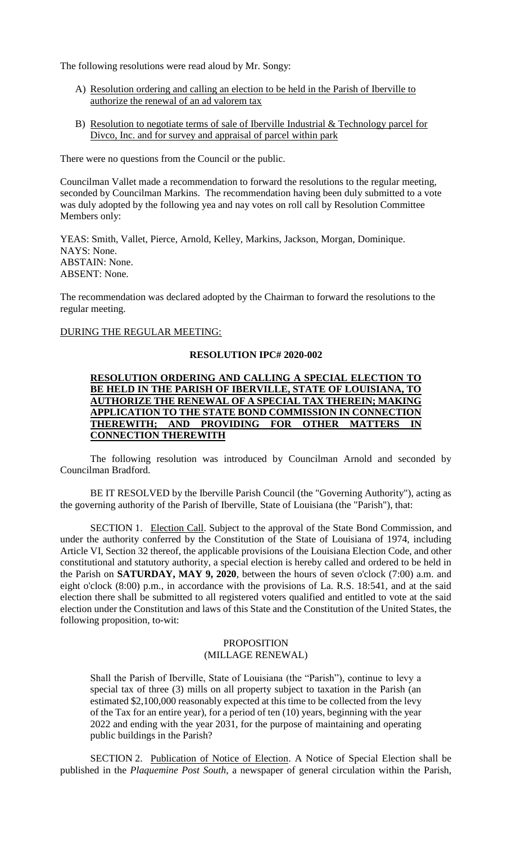The following resolutions were read aloud by Mr. Songy:

- A) Resolution ordering and calling an election to be held in the Parish of Iberville to authorize the renewal of an ad valorem tax
- B) Resolution to negotiate terms of sale of Iberville Industrial  $&$  Technology parcel for Divco, Inc. and for survey and appraisal of parcel within park

There were no questions from the Council or the public.

Councilman Vallet made a recommendation to forward the resolutions to the regular meeting, seconded by Councilman Markins. The recommendation having been duly submitted to a vote was duly adopted by the following yea and nay votes on roll call by Resolution Committee Members only:

YEAS: Smith, Vallet, Pierce, Arnold, Kelley, Markins, Jackson, Morgan, Dominique. NAYS: None. ABSTAIN: None. ABSENT: None.

The recommendation was declared adopted by the Chairman to forward the resolutions to the regular meeting.

### DURING THE REGULAR MEETING:

### **RESOLUTION IPC# 2020-002**

### **RESOLUTION ORDERING AND CALLING A SPECIAL ELECTION TO BE HELD IN THE PARISH OF IBERVILLE, STATE OF LOUISIANA, TO AUTHORIZE THE RENEWAL OF A SPECIAL TAX THEREIN; MAKING APPLICATION TO THE STATE BOND COMMISSION IN CONNECTION**  THEREWITH; AND PROVIDING FOR OTHER MATTERS **CONNECTION THEREWITH**

The following resolution was introduced by Councilman Arnold and seconded by Councilman Bradford.

BE IT RESOLVED by the Iberville Parish Council (the "Governing Authority"), acting as the governing authority of the Parish of Iberville, State of Louisiana (the "Parish"), that:

SECTION 1. Election Call. Subject to the approval of the State Bond Commission, and under the authority conferred by the Constitution of the State of Louisiana of 1974, including Article VI, Section 32 thereof, the applicable provisions of the Louisiana Election Code, and other constitutional and statutory authority, a special election is hereby called and ordered to be held in the Parish on **SATURDAY, MAY 9, 2020**, between the hours of seven o'clock (7:00) a.m. and eight o'clock (8:00) p.m., in accordance with the provisions of La. R.S. 18:541, and at the said election there shall be submitted to all registered voters qualified and entitled to vote at the said election under the Constitution and laws of this State and the Constitution of the United States, the following proposition, to-wit:

### PROPOSITION (MILLAGE RENEWAL)

Shall the Parish of Iberville, State of Louisiana (the "Parish"), continue to levy a special tax of three (3) mills on all property subject to taxation in the Parish (an estimated \$2,100,000 reasonably expected at this time to be collected from the levy of the Tax for an entire year), for a period of ten (10) years, beginning with the year 2022 and ending with the year 2031, for the purpose of maintaining and operating public buildings in the Parish?

SECTION 2. Publication of Notice of Election. A Notice of Special Election shall be published in the *Plaquemine Post South*, a newspaper of general circulation within the Parish,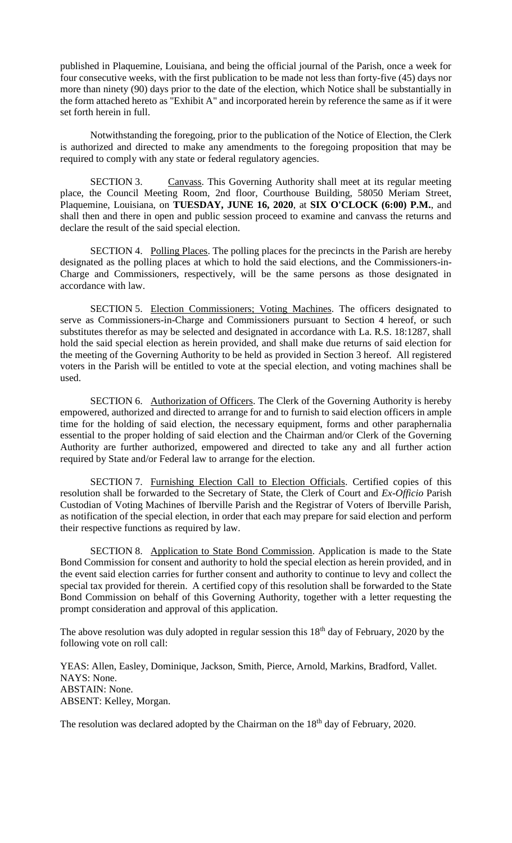published in Plaquemine, Louisiana, and being the official journal of the Parish, once a week for four consecutive weeks, with the first publication to be made not less than forty-five (45) days nor more than ninety (90) days prior to the date of the election, which Notice shall be substantially in the form attached hereto as "Exhibit A" and incorporated herein by reference the same as if it were set forth herein in full.

Notwithstanding the foregoing, prior to the publication of the Notice of Election, the Clerk is authorized and directed to make any amendments to the foregoing proposition that may be required to comply with any state or federal regulatory agencies.

SECTION 3. Canvass. This Governing Authority shall meet at its regular meeting place, the Council Meeting Room, 2nd floor, Courthouse Building, 58050 Meriam Street, Plaquemine, Louisiana, on **TUESDAY, JUNE 16, 2020**, at **SIX O'CLOCK (6:00) P.M.**, and shall then and there in open and public session proceed to examine and canvass the returns and declare the result of the said special election.

SECTION 4. Polling Places. The polling places for the precincts in the Parish are hereby designated as the polling places at which to hold the said elections, and the Commissioners-in-Charge and Commissioners, respectively, will be the same persons as those designated in accordance with law.

SECTION 5. Election Commissioners; Voting Machines. The officers designated to serve as Commissioners-in-Charge and Commissioners pursuant to Section 4 hereof, or such substitutes therefor as may be selected and designated in accordance with La. R.S. 18:1287, shall hold the said special election as herein provided, and shall make due returns of said election for the meeting of the Governing Authority to be held as provided in Section 3 hereof. All registered voters in the Parish will be entitled to vote at the special election, and voting machines shall be used.

SECTION 6. Authorization of Officers. The Clerk of the Governing Authority is hereby empowered, authorized and directed to arrange for and to furnish to said election officers in ample time for the holding of said election, the necessary equipment, forms and other paraphernalia essential to the proper holding of said election and the Chairman and/or Clerk of the Governing Authority are further authorized, empowered and directed to take any and all further action required by State and/or Federal law to arrange for the election.

SECTION 7. Furnishing Election Call to Election Officials. Certified copies of this resolution shall be forwarded to the Secretary of State, the Clerk of Court and *Ex-Officio* Parish Custodian of Voting Machines of Iberville Parish and the Registrar of Voters of Iberville Parish, as notification of the special election, in order that each may prepare for said election and perform their respective functions as required by law.

SECTION 8. Application to State Bond Commission. Application is made to the State Bond Commission for consent and authority to hold the special election as herein provided, and in the event said election carries for further consent and authority to continue to levy and collect the special tax provided for therein. A certified copy of this resolution shall be forwarded to the State Bond Commission on behalf of this Governing Authority, together with a letter requesting the prompt consideration and approval of this application.

The above resolution was duly adopted in regular session this  $18<sup>th</sup>$  day of February, 2020 by the following vote on roll call:

YEAS: Allen, Easley, Dominique, Jackson, Smith, Pierce, Arnold, Markins, Bradford, Vallet. NAYS: None. ABSTAIN: None. ABSENT: Kelley, Morgan.

The resolution was declared adopted by the Chairman on the 18<sup>th</sup> day of February, 2020.